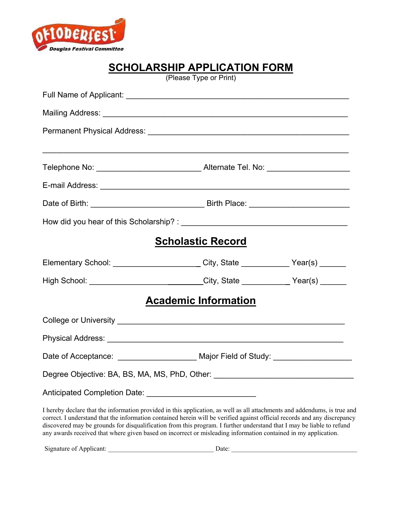

# **SCHOLARSHIP APPLICATION FORM**

(Please Type or Print)

|                                                                                                                                                                                                                                                                                                                                                                                 | Telephone No: __________________________________Alternate Tel. No: ______________ |  |
|---------------------------------------------------------------------------------------------------------------------------------------------------------------------------------------------------------------------------------------------------------------------------------------------------------------------------------------------------------------------------------|-----------------------------------------------------------------------------------|--|
|                                                                                                                                                                                                                                                                                                                                                                                 |                                                                                   |  |
|                                                                                                                                                                                                                                                                                                                                                                                 |                                                                                   |  |
|                                                                                                                                                                                                                                                                                                                                                                                 |                                                                                   |  |
|                                                                                                                                                                                                                                                                                                                                                                                 | <b>Scholastic Record</b>                                                          |  |
| Elementary School: ___________________________City, State ____________Year(s) ______                                                                                                                                                                                                                                                                                            |                                                                                   |  |
| High School: __________________________City, State ___________Year(s) ______                                                                                                                                                                                                                                                                                                    |                                                                                   |  |
|                                                                                                                                                                                                                                                                                                                                                                                 | <b>Academic Information</b>                                                       |  |
|                                                                                                                                                                                                                                                                                                                                                                                 |                                                                                   |  |
|                                                                                                                                                                                                                                                                                                                                                                                 |                                                                                   |  |
|                                                                                                                                                                                                                                                                                                                                                                                 | Date of Acceptance: _____________________ Major Field of Study: ________________  |  |
| Degree Objective: BA, BS, MA, MS, PhD, Other: __________________________________                                                                                                                                                                                                                                                                                                |                                                                                   |  |
|                                                                                                                                                                                                                                                                                                                                                                                 |                                                                                   |  |
| I hereby declare that the information provided in this application, as well as all attachments and addendums, is true and<br>correct. I understand that the information contained herein will be verified against official records and any discrepancy<br>discovered may be grounds for disqualification from this program. I further understand that I may be liable to refund |                                                                                   |  |

any awards received that where given based on incorrect or misleading information contained in my application.

Signature of Applicant: \_\_\_\_\_\_\_\_\_\_\_\_\_\_\_\_\_\_\_\_\_\_\_\_\_\_\_\_\_\_\_\_ Date: \_\_\_\_\_\_\_\_\_\_\_\_\_\_\_\_\_\_\_\_\_\_\_\_\_\_\_\_\_\_\_\_\_\_\_\_\_\_